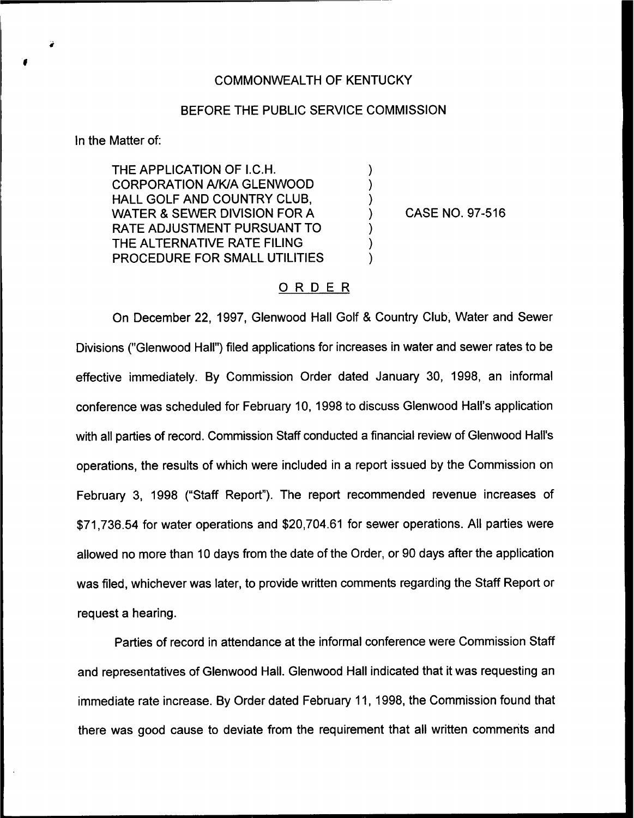#### COMMONWEALTH OF KENTUCKY

### BEFORE THE PUBLIC SERVICE COMMISSION

 $\lambda$  $\lambda$  $\lambda$  $\lambda$  $\lambda$ 

In the Matter of:

THE APPLICATION OF I.C.H. CORPORATION NKIA GLENWOOD HALL GOLF AND COUNTRY CLUB, WATER & SEWER DIVISION FOR A RATE ADJUSTMENT PURSUANT TO THE ALTERNATIVE RATE FILING PROCEDURE FOR SMALL UTILITIES

CASE NO. 97-516

# ORDER

On December 22, 1997, Glenwood Hall Golf & Country Club, Water and Sewer Divisions ("Glenwood Hall") filed applications for increases in water and sewer rates to be effective immediately. By Commission Order dated January 30, 1998, an informal conference was scheduled for February 10, 1998 to discuss Glenwood Hall's application with all parties of record. Commission Staff conducted a financial review of Glenwood Hall's operations, the results of which were included in a report issued by the Commission on February 3, 1998 ("Staff Report"). The report recommended revenue increases of \$71,736.54 for water operations and \$20,704.61 for sewer operations. All parties were allowed no more than 10 days from the date of the Order, or 90 days after the application was filed, whichever was later, to provide written comments regarding the Staff Report or request a hearing.

Parties of record in attendance at the informal conference were Commission Staff and representatives of Glenwood Hall. Glenwood Hall indicated that it was requesting an immediate rate increase. By Order dated February 11, 1998, the Commission found that there was good cause to deviate from the requirement that all written comments and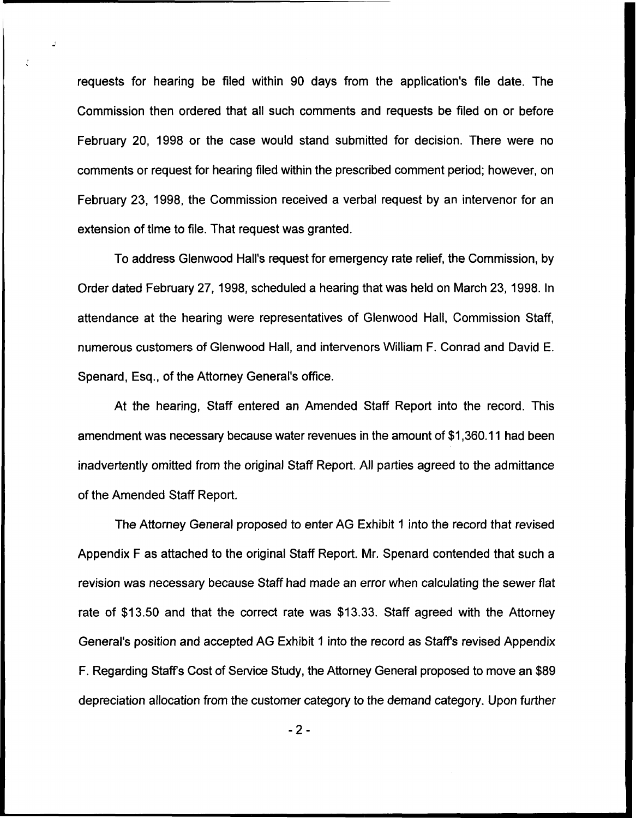requests for hearing be filed within 90 days from the application's file date. The Commission then ordered that all such comments and requests be filed on or before February 20, 1998 or the case would stand submitted for decision. There were no comments or request for hearing filed within the prescribed comment period; however, on February 23, 1998, the Commission received a verbal request by an intervenor for an extension of time to file. That request was granted.

To address Glenwood Hall's request for emergency rate relief, the Commission, by Order dated February 27, 1998, scheduled a hearing that was held on March 23, 1998. In attendance at the hearing were representatives of Glenwood Hall, Commission Staff, numerous customers of Glenwood Hall, and intervenors William F, Conrad and David E. Spenard, Esq., of the Attorney General's office.

At the hearing, Staff entered an Amended Staff Report into the record. This amendment was necessary because water revenues in the amount of \$1,360.11 had been inadvertently omitted from the original Staff Report. All parties agreed to the admittance of the Amended Staff Report.

The Attorney General proposed to enter AG Exhibit <sup>1</sup> into the record that revised Appendix F as attached to the original Staff Report. Mr. Spenard contended that such a revision was necessary because Staff had made an error when calculating the sewer flat rate of \$13.50 and that the correct rate was \$13.33. Staff agreed with the Attorney General's position and accepted AG Exhibit <sup>1</sup> into the record as Staff's revised Appendix F. Regarding Staff's Cost of Service Study, the Attorney General proposed to move an \$89 depreciation allocation from the customer category to the demand category. Upon further

-2-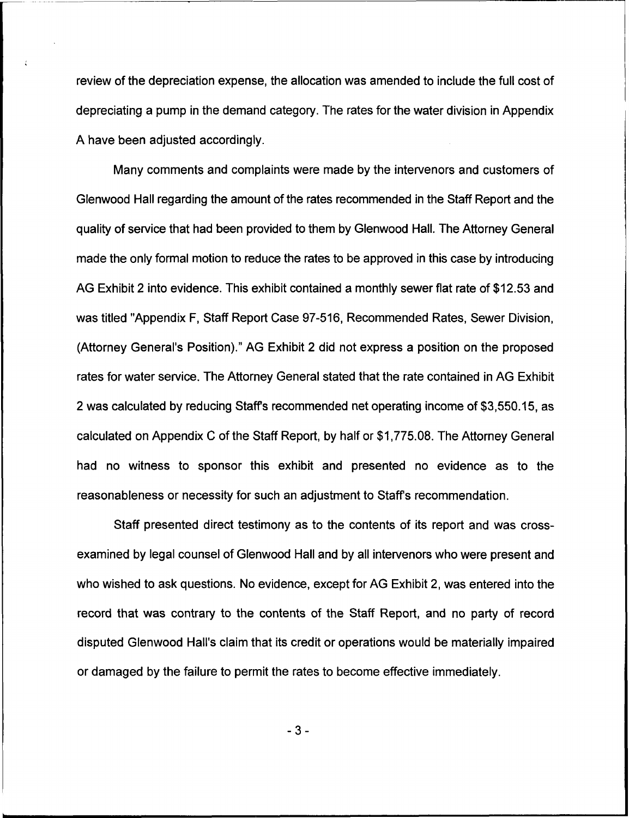review of the depreciation expense, the allocation was amended to include the full cost of depreciating a pump in the demand category. The rates for the water division in Appendix A have been adjusted accordingly.

Many comments and complaints were made by the intervenors and customers of Glenwood Hall regarding the amount of the rates recommended in the Staff Report and the quality of service that had been provided to them by Glenwood Hall. The Attorney General made the only formal motion to reduce the rates to be approved in this case by introducing AG Exhibit 2 into evidence. This exhibit contained a monthly sewer flat rate of \$12.53 and was titled "Appendix F, Staff Report Case 97-516, Recommended Rates, Sewer Division, (Attorney General's Position)." AG Exhibit 2 did not express a position on the proposed rates for water service. The Attorney General stated that the rate contained in AG Exhibit 2 was calculated by reducing Staff's recommended net operating income of \$3,550.15, as calculated on Appendix C of the Staff Report, by half or \$1,775.08.The Attorney General had no witness to sponsor this exhibit and presented no evidence as to the reasonableness or necessity for such an adjustment to Staff's recommendation.

Staff presented direct testimony as to the contents of its report and was crossexamined by legal counsel of Glenwood Hall and by all intervenors who were present and who wished to ask questions. No evidence, except for AG Exhibit 2, was entered into the record that was contrary to the contents of the Staff Report, and no party of record disputed Glenwood Hall's claim that its credit or operations would be materially impaired or damaged by the failure to permit the rates to become effective immediately.

 $-3-$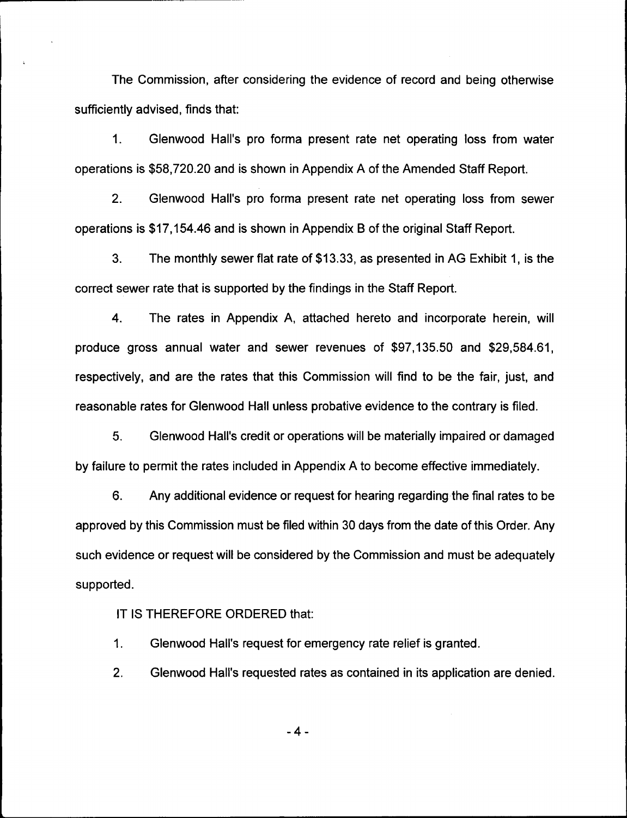The Commission, after considering the evidence of record and being otherwise sufficiently advised, finds that:

 $1<sub>1</sub>$ Glenwood Hall's pro forma present rate net operating loss from water operations is \$58,720.20 and is shown in Appendix A of the Amended Staff Report.

2. Glenwood Hall's pro forma present rate net operating loss from sewer operations is \$17,154.46and is shown in Appendix B of the original Staff Report.

3. The monthly sewer flat rate of \$13.33,as presented in AG Exhibit 1, is the correct sewer rate that is supported by the findings in the Staff Report.

4. The rates in Appendix A, attached hereto and incorporate herein, will produce gross annual water and sewer revenues of \$97,135.50 and \$29,584.61, respectively, and are the rates that this Commission will find to be the fair, just, and reasonable rates for Glenwood Hall unless probative evidence to the contrary is filed.

5. Glenwood Hall's credit or operations will be materially impaired or damaged by failure to permit the rates included in Appendix A to become effective immediately.

6. Any additional evidence or request for hearing regarding the final rates to be approved by this Commission must be filed within 30 days from the date of this Order. Any such evidence or request will be considered by the Commission and must be adequately supported.

IT IS THEREFORE ORDERED that:

1. Glenwood Hall's request for emergency rate relief is granted.

2. Glenwood Hall's requested rates as contained in its application are denied.

 $-4-$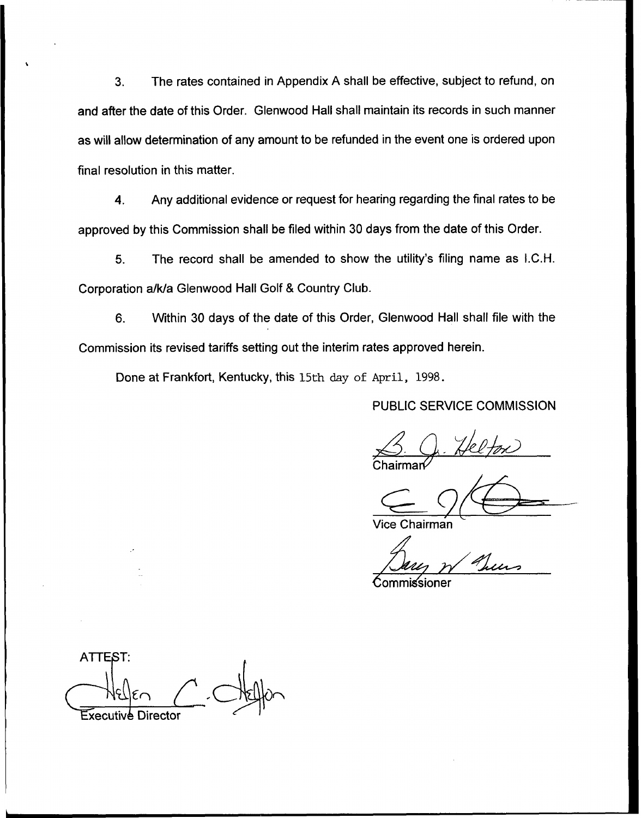3. The rates contained in Appendix A shall be effective, subject to refund, on and after the date of this Order. Glenwood Hall shall maintain its records in such manner as will allow determination of any amount to be refunded in the event one is ordered upon final resolution in this matter.

4. Any additional evidence or request for hearing regarding the final rates to be approved by this Commission shall be filed within 30 days from the date of this Order.

5. The record shall be amended to show the utility's filing name as I.C.H. Corporation a/k/a Glenwood Hall Golf 8 Country Club.

6. Within 30 days of the date of this Order, Glenwood Hall shall file with the Commission its revised tariffs setting out the interim rates approved herein.

Done at Frankfort, Kentucky, this 15th day of April, 1998.

PUBLIC SERVICE COMMISSION

Chairman B. Q. Helfox

Vice Chairman

Commissioner

ATTEST: Executive Director